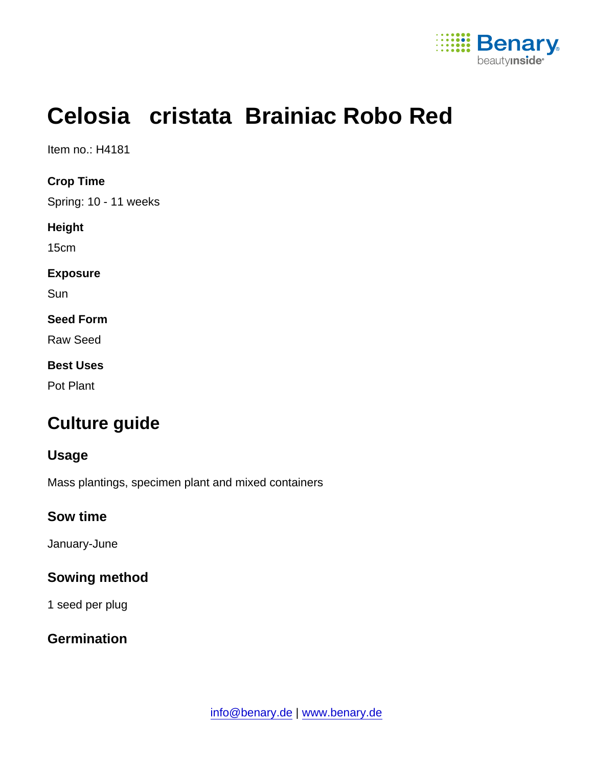

# Celosia cristata Brainiac Robo Red

Item no.: H4181

Crop Time

Spring: 10 - 11 weeks

Height

15cm

Exposure

**Sun** 

Seed Form

Raw Seed

Best Uses

Pot Plant

# Culture guide

Usage

Mass plantings, specimen plant and mixed containers

Sow time

January-June

Sowing method

1 seed per plug

**Germination**